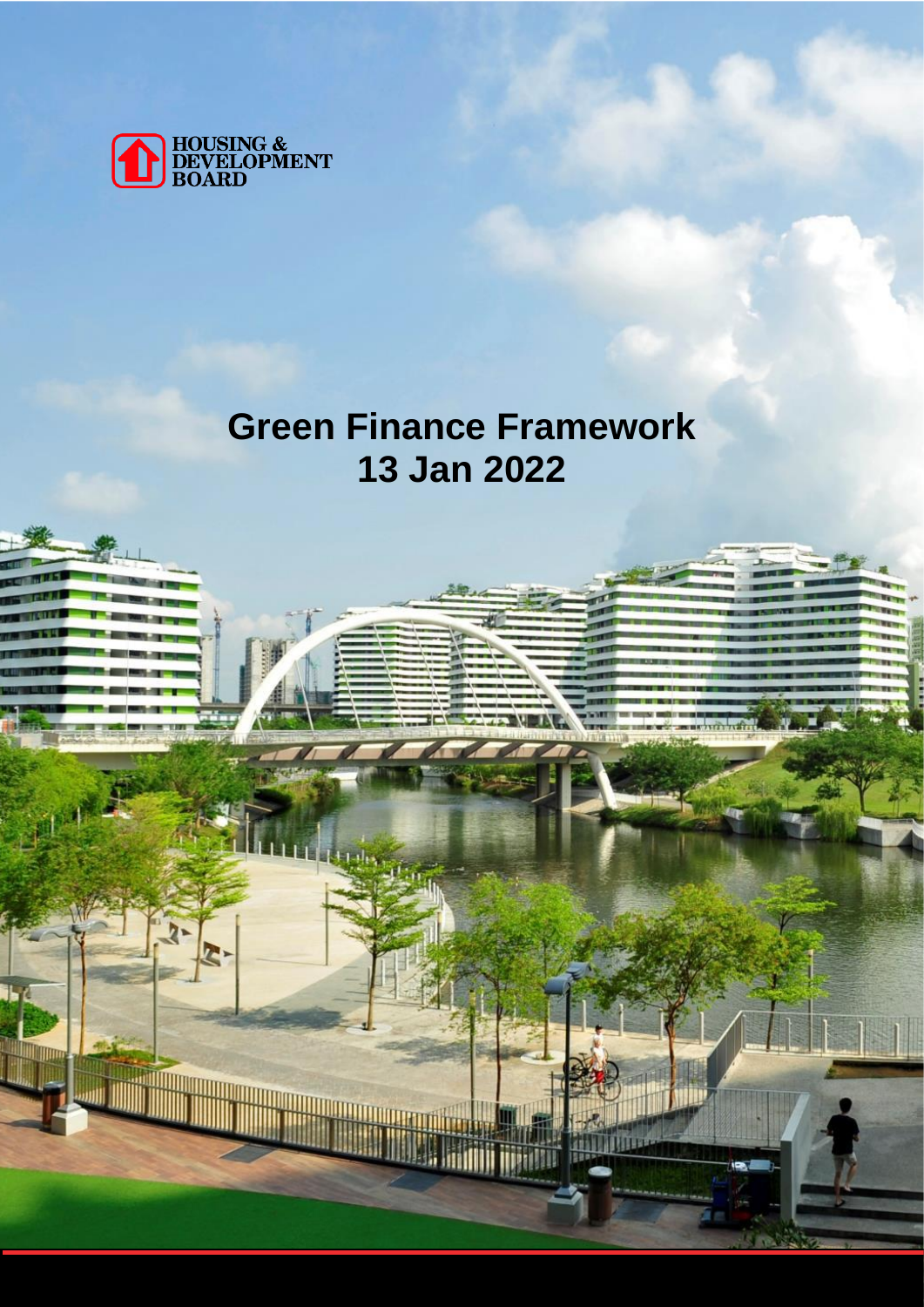

# **Green Finance Framework 13 Jan 2022**

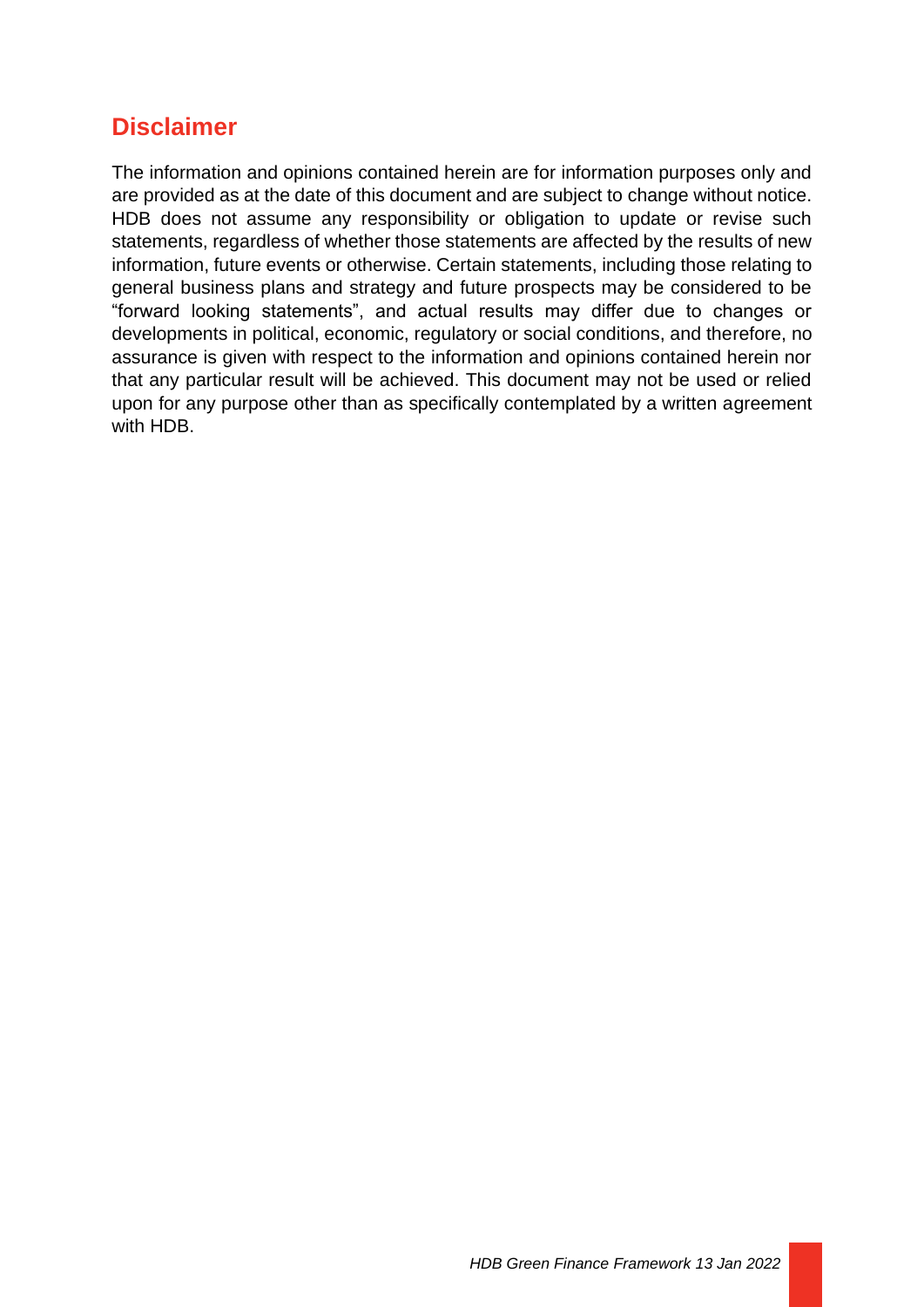### **Disclaimer**

The information and opinions contained herein are for information purposes only and are provided as at the date of this document and are subject to change without notice. HDB does not assume any responsibility or obligation to update or revise such statements, regardless of whether those statements are affected by the results of new information, future events or otherwise. Certain statements, including those relating to general business plans and strategy and future prospects may be considered to be "forward looking statements", and actual results may differ due to changes or developments in political, economic, regulatory or social conditions, and therefore, no assurance is given with respect to the information and opinions contained herein nor that any particular result will be achieved. This document may not be used or relied upon for any purpose other than as specifically contemplated by a written agreement with HDB.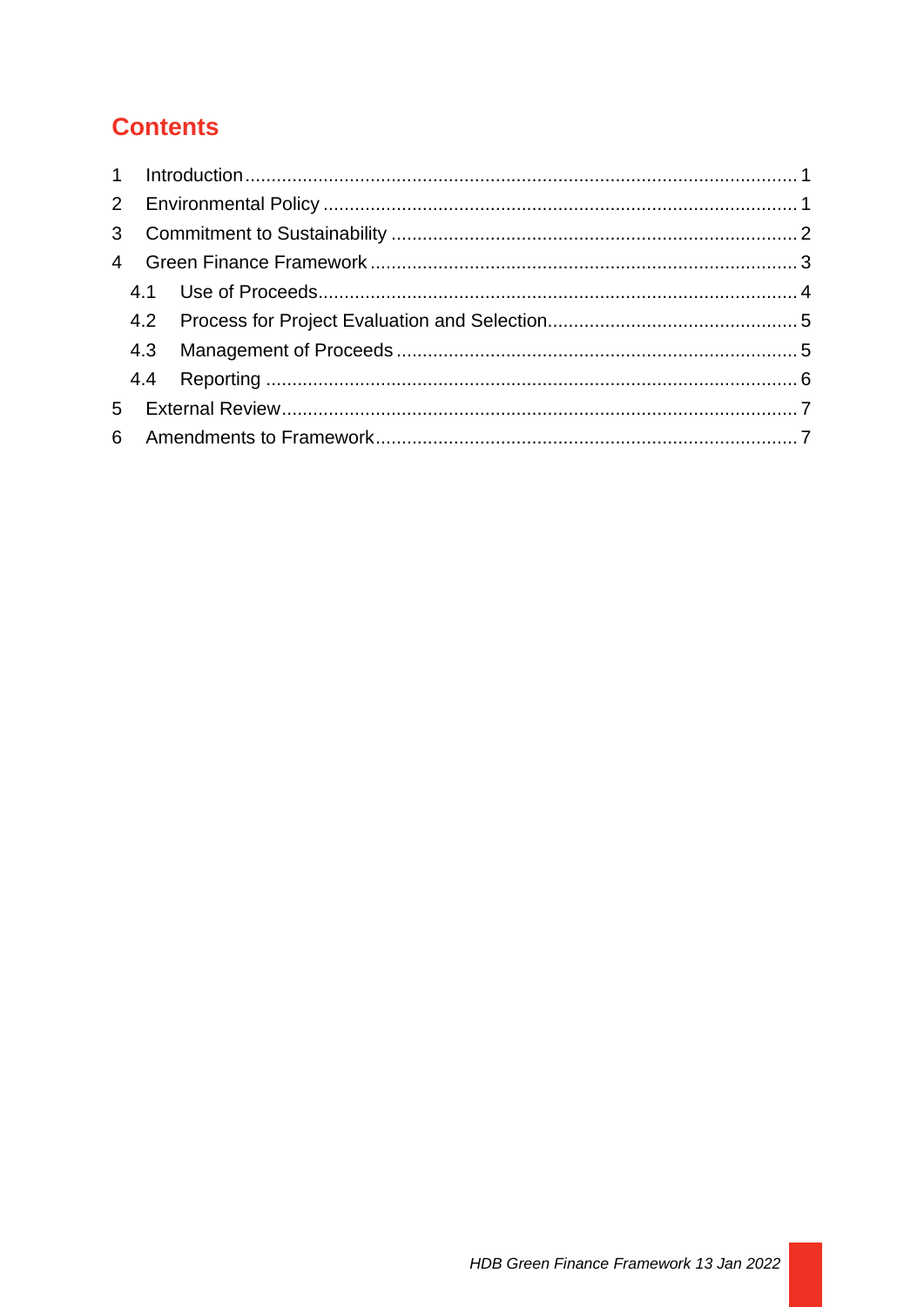## **Contents**

<span id="page-2-0"></span>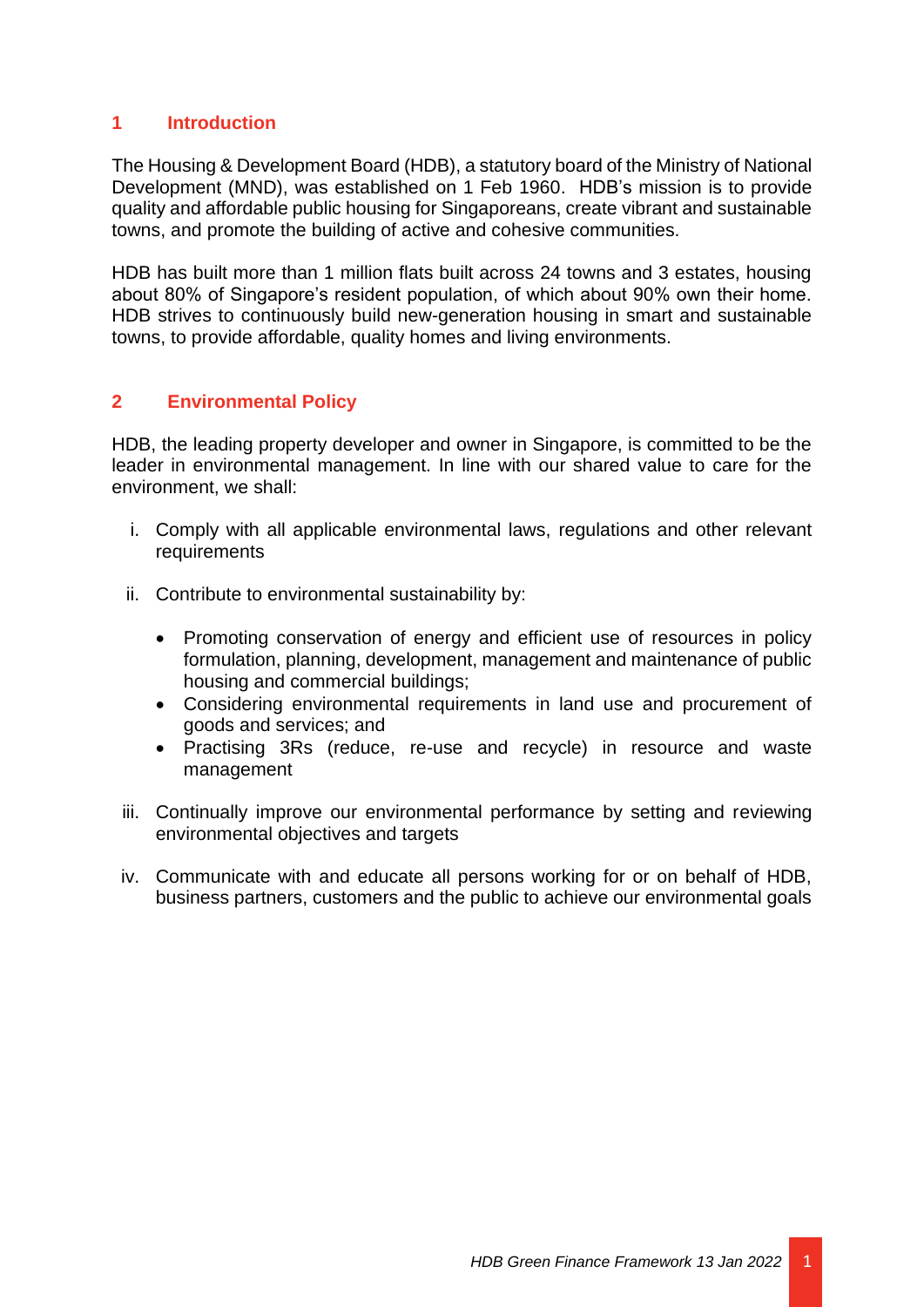#### **1 Introduction**

The Housing & Development Board (HDB), a statutory board of the Ministry of National Development (MND), was established on 1 Feb 1960. HDB's mission is to provide quality and affordable public housing for Singaporeans, create vibrant and sustainable towns, and promote the building of active and cohesive communities.

HDB has built more than 1 million flats built across 24 towns and 3 estates, housing about 80% of Singapore's resident population, of which about 90% own their home. HDB strives to continuously build new-generation housing in smart and sustainable towns, to provide affordable, quality homes and living environments.

#### <span id="page-3-0"></span>**2 Environmental Policy**

HDB, the leading property developer and owner in Singapore, is committed to be the leader in environmental management. In line with our shared value to care for the environment, we shall:

- i. Comply with all applicable environmental laws, regulations and other relevant requirements
- ii. Contribute to environmental sustainability by:
	- Promoting conservation of energy and efficient use of resources in policy formulation, planning, development, management and maintenance of public housing and commercial buildings;
	- Considering environmental requirements in land use and procurement of goods and services; and
	- Practising 3Rs (reduce, re-use and recycle) in resource and waste management
- iii. Continually improve our environmental performance by setting and reviewing environmental objectives and targets
- <span id="page-3-1"></span>iv. Communicate with and educate all persons working for or on behalf of HDB, business partners, customers and the public to achieve our environmental goals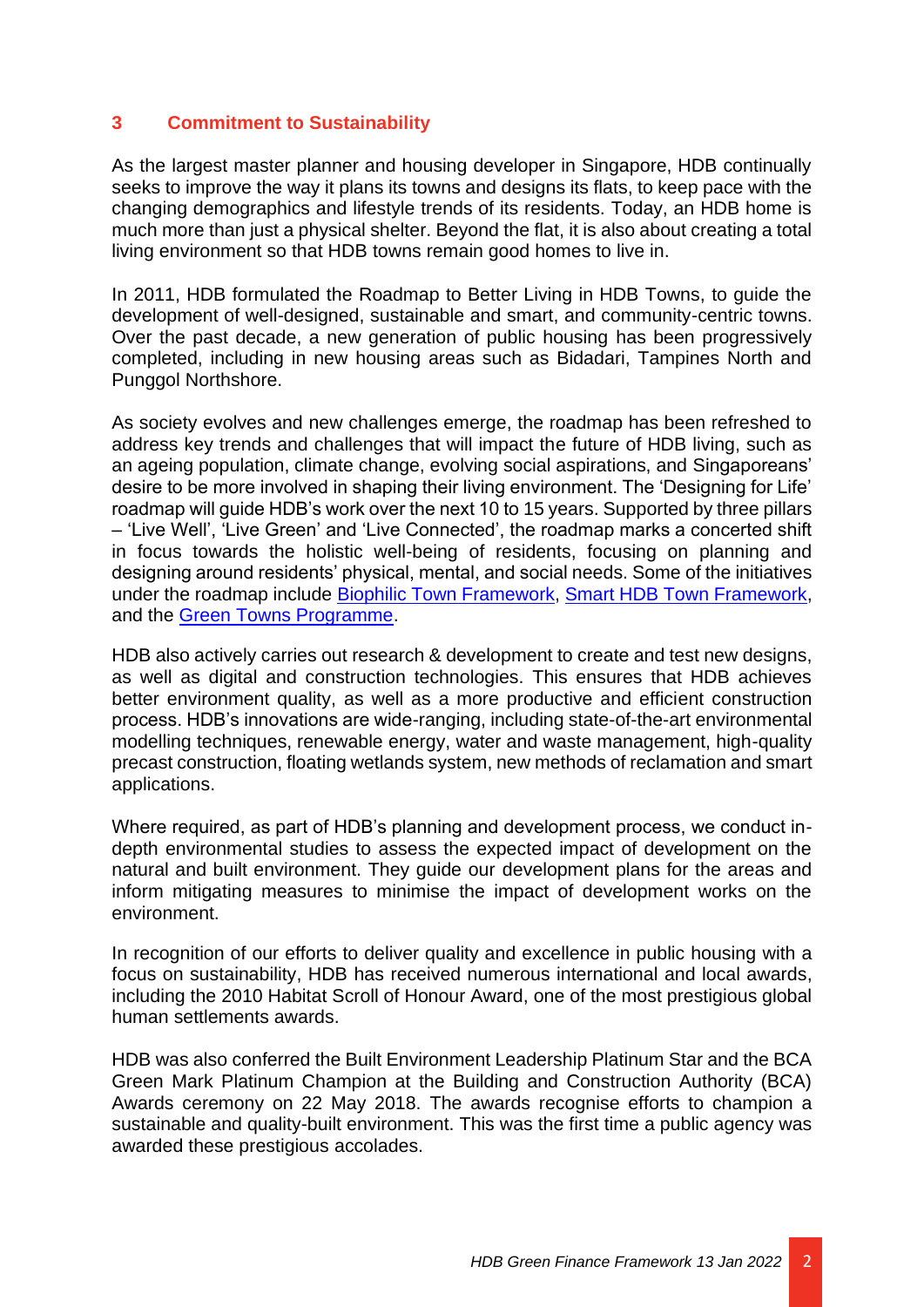#### **3 Commitment to Sustainability**

As the largest master planner and housing developer in Singapore, HDB continually seeks to improve the way it plans its towns and designs its flats, to keep pace with the changing demographics and lifestyle trends of its residents. Today, an HDB home is much more than just a physical shelter. Beyond the flat, it is also about creating a total living environment so that HDB towns remain good homes to live in.

In 2011, HDB formulated the Roadmap to Better Living in HDB Towns, to guide the development of well-designed, sustainable and smart, and community-centric towns. Over the past decade, a new generation of public housing has been progressively completed, including in new housing areas such as Bidadari, Tampines North and Punggol Northshore.

As society evolves and new challenges emerge, the roadmap has been refreshed to address key trends and challenges that will impact the future of HDB living, such as an ageing population, climate change, evolving social aspirations, and Singaporeans' desire to be more involved in shaping their living environment. The 'Designing for Life' roadmap will guide HDB's work over the next 10 to 15 years. Supported by three pillars – 'Live Well', 'Live Green' and 'Live Connected', the roadmap marks a concerted shift in focus towards the holistic well-being of residents, focusing on planning and designing around residents' physical, mental, and social needs. Some of the initiatives under the roadmap include [Biophilic Town Framework,](https://www.hdb.gov.sg/about-us/our-role/smart-and-sustainable-living/biophilic-towns) [Smart HDB Town Framework,](https://www.hdb.gov.sg/about-us/our-role/smart-and-sustainable-living/smart-hdb-town-page) and the [Green Towns Programme.](https://www.hdb.gov.sg/cs/infoweb/about-us/our-role/smart-and-sustainable-living/Green-Towns-Progamme)

HDB also actively carries out research & development to create and test new designs, as well as digital and construction technologies. This ensures that HDB achieves better environment quality, as well as a more productive and efficient construction process. HDB's innovations are wide-ranging, including state-of-the-art environmental modelling techniques, renewable energy, water and waste management, high-quality precast construction, floating wetlands system, new methods of reclamation and smart applications.

Where required, as part of HDB's planning and development process, we conduct indepth environmental studies to assess the expected impact of development on the natural and built environment. They guide our development plans for the areas and inform mitigating measures to minimise the impact of development works on the environment.

In recognition of our efforts to deliver quality and excellence in public housing with a focus on sustainability, HDB has received numerous international and local awards, including the 2010 Habitat Scroll of Honour Award, one of the most prestigious global human settlements awards.

HDB was also conferred the Built Environment Leadership Platinum Star and the BCA Green Mark Platinum Champion at the Building and Construction Authority (BCA) Awards ceremony on 22 May 2018. The awards recognise efforts to champion a sustainable and quality-built environment. This was the first time a public agency was awarded these prestigious accolades.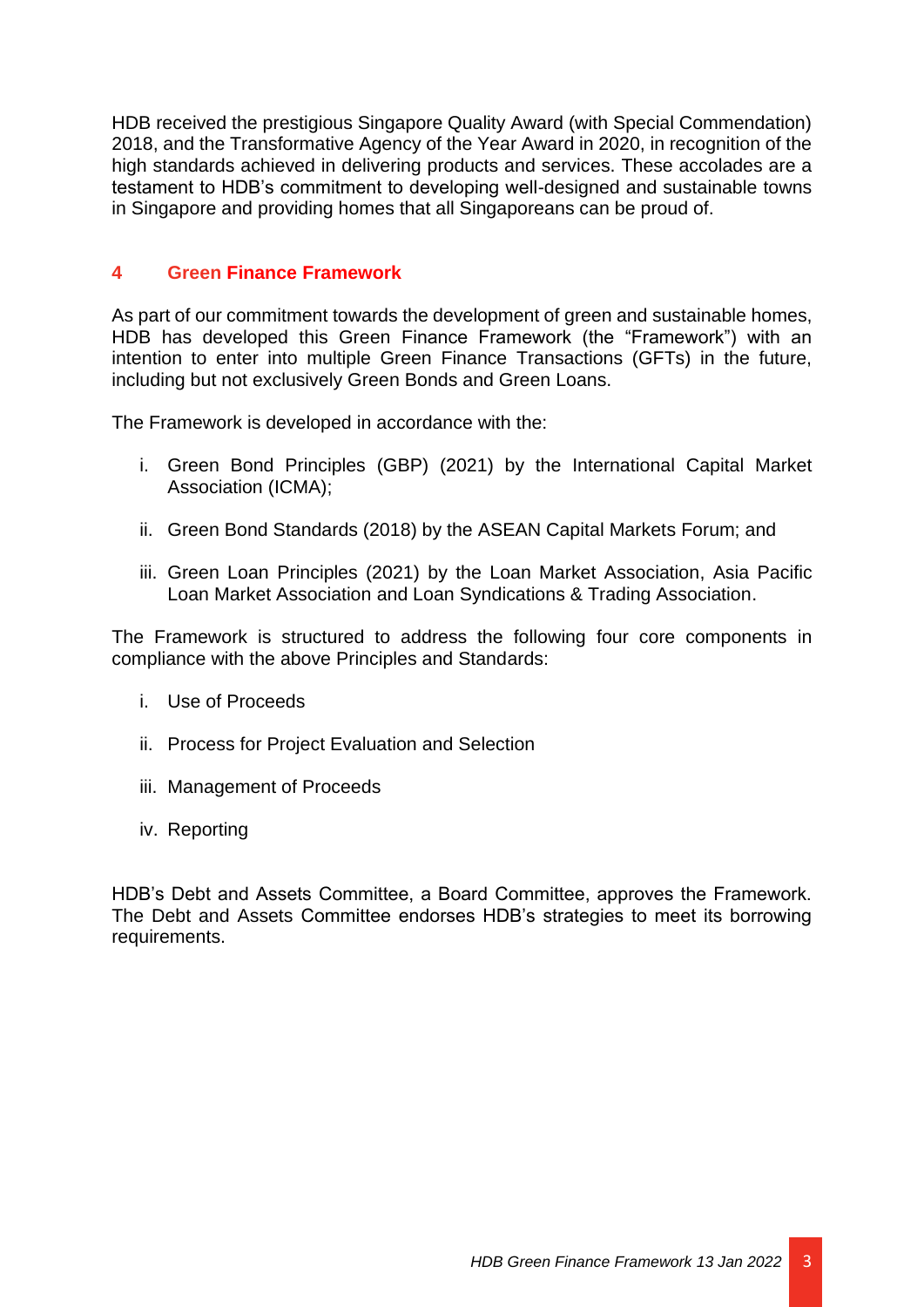HDB received the prestigious Singapore Quality Award (with Special Commendation) 2018, and the Transformative Agency of the Year Award in 2020, in recognition of the high standards achieved in delivering products and services. These accolades are a testament to HDB's commitment to developing well-designed and sustainable towns in Singapore and providing homes that all Singaporeans can be proud of.

#### <span id="page-5-0"></span>**4 Green Finance Framework**

As part of our commitment towards the development of green and sustainable homes, HDB has developed this Green Finance Framework (the "Framework") with an intention to enter into multiple Green Finance Transactions (GFTs) in the future, including but not exclusively Green Bonds and Green Loans.

The Framework is developed in accordance with the:

- i. Green Bond Principles (GBP) (2021) by the International Capital Market Association (ICMA);
- ii. Green Bond Standards (2018) by the ASEAN Capital Markets Forum; and
- iii. Green Loan Principles (2021) by the Loan Market Association, Asia Pacific Loan Market Association and Loan Syndications & Trading Association.

The Framework is structured to address the following four core components in compliance with the above Principles and Standards:

- i. Use of Proceeds
- ii. Process for Project Evaluation and Selection
- iii. Management of Proceeds
- iv. Reporting

<span id="page-5-1"></span>HDB's Debt and Assets Committee, a Board Committee, approves the Framework. The Debt and Assets Committee endorses HDB's strategies to meet its borrowing requirements.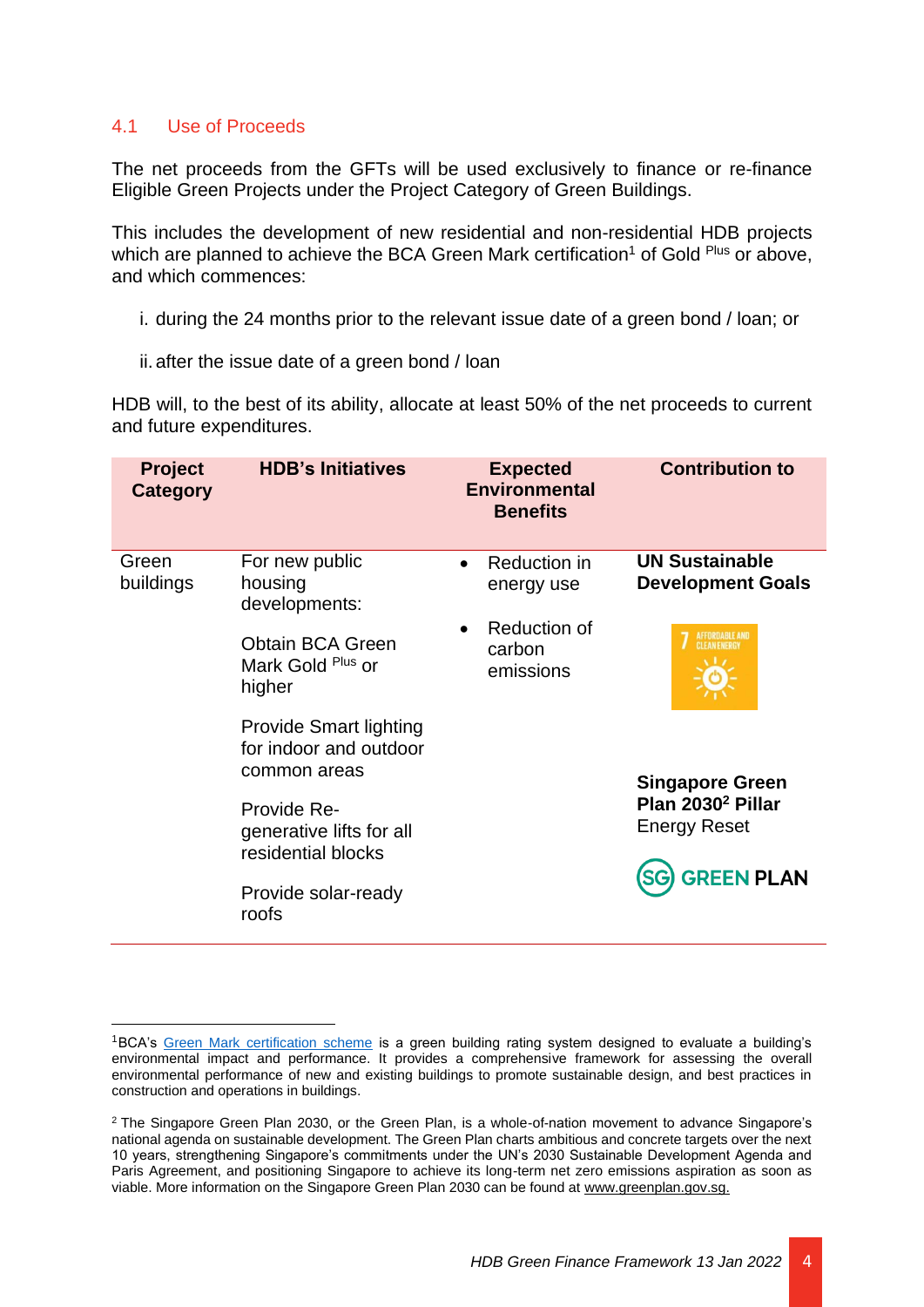#### 4.1 Use of Proceeds

The net proceeds from the GFTs will be used exclusively to finance or re-finance Eligible Green Projects under the Project Category of Green Buildings.

This includes the development of new residential and non-residential HDB projects which are planned to achieve the BCA Green Mark certification<sup>1</sup> of Gold  $P<sup>lu</sup>s$  or above, and which commences:

- i. during the 24 months prior to the relevant issue date of a green bond / loan; or
- ii. after the issue date of a green bond / loan

HDB will, to the best of its ability, allocate at least 50% of the net proceeds to current and future expenditures.

| <b>Project</b><br>Category | <b>HDB's Initiatives</b>                                                |           | <b>Expected</b><br><b>Environmental</b><br><b>Benefits</b> | <b>Contribution to</b>                               |
|----------------------------|-------------------------------------------------------------------------|-----------|------------------------------------------------------------|------------------------------------------------------|
| Green<br>buildings         | For new public<br>housing<br>developments:                              | $\bullet$ | Reduction in<br>energy use                                 | <b>UN Sustainable</b><br><b>Development Goals</b>    |
|                            | <b>Obtain BCA Green</b><br>Mark Gold Plus or<br>higher                  |           | Reduction of<br>carbon<br>emissions                        | AFFORDABLE AND<br>CLEAN ENERGY                       |
|                            | <b>Provide Smart lighting</b><br>for indoor and outdoor<br>common areas |           |                                                            | <b>Singapore Green</b>                               |
|                            | Provide Re-<br>generative lifts for all<br>residential blocks           |           |                                                            | Plan 2030 <sup>2</sup> Pillar<br><b>Energy Reset</b> |
|                            | Provide solar-ready<br>roofs                                            |           |                                                            | <b>GREEN PLAN</b>                                    |

<span id="page-6-0"></span><sup>1</sup>BCA's [Green Mark certification scheme](https://www1.bca.gov.sg/buildsg/sustainability/green-mark-certification-scheme) is a green building rating system designed to evaluate a building's environmental impact and performance. It provides a comprehensive framework for assessing the overall environmental performance of new and existing buildings to promote sustainable design, and best practices in construction and operations in buildings.

<sup>2</sup> The Singapore Green Plan 2030, or the Green Plan, is a whole-of-nation movement to advance Singapore's national agenda on sustainable development. The Green Plan charts ambitious and concrete targets over the next 10 years, strengthening Singapore's commitments under the UN's 2030 Sustainable Development Agenda and Paris Agreement, and positioning Singapore to achieve its long-term net zero emissions aspiration as soon as viable. More information on the Singapore Green Plan 2030 can be found at [www.greenplan.gov.sg.](http://www.greenplan.gov.sg/)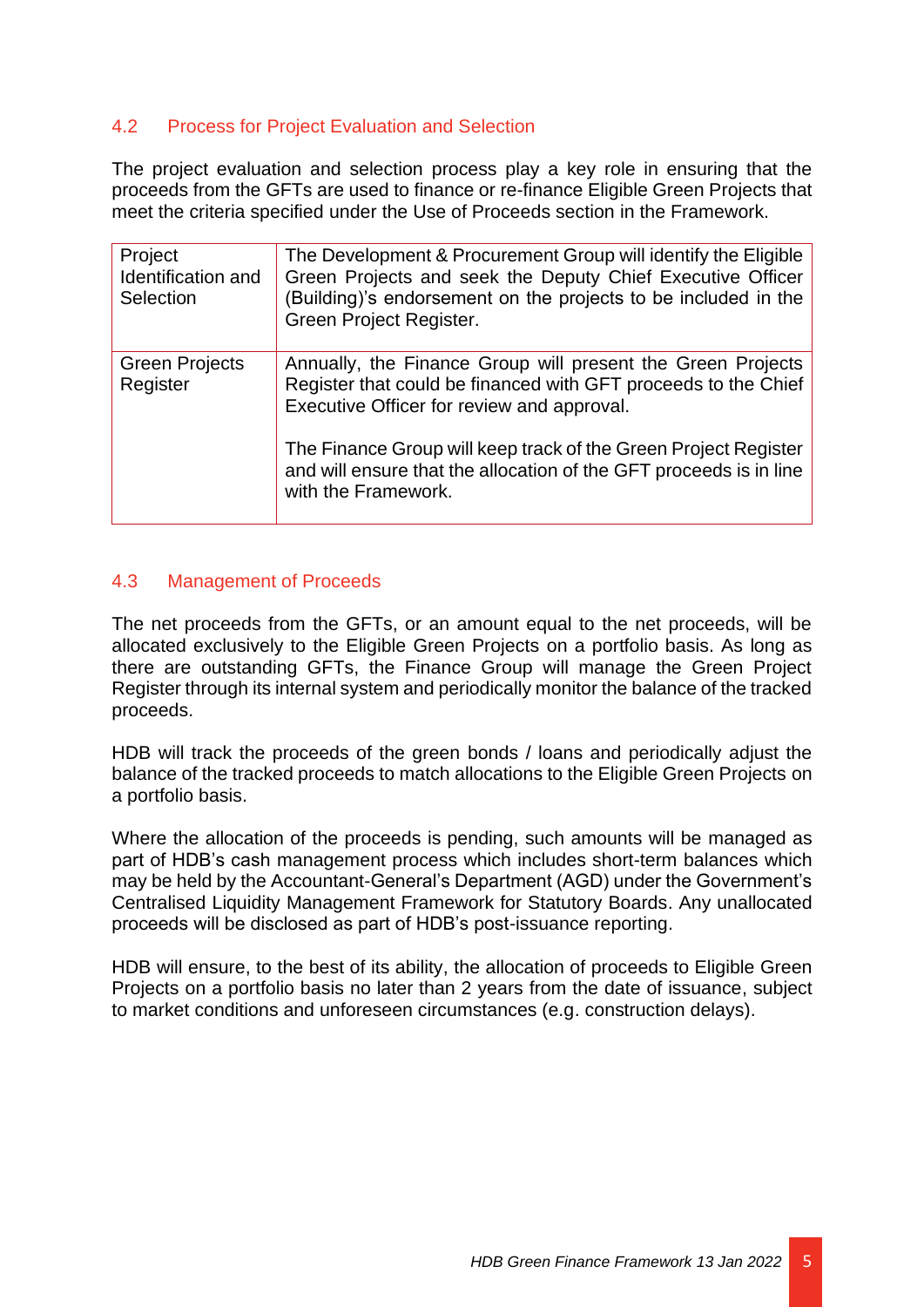#### 4.2 Process for Project Evaluation and Selection

The project evaluation and selection process play a key role in ensuring that the proceeds from the GFTs are used to finance or re-finance Eligible Green Projects that meet the criteria specified under the Use of Proceeds section in the Framework.

| Project<br>Identification and<br>Selection | The Development & Procurement Group will identify the Eligible<br>Green Projects and seek the Deputy Chief Executive Officer<br>(Building)'s endorsement on the projects to be included in the<br>Green Project Register. |
|--------------------------------------------|---------------------------------------------------------------------------------------------------------------------------------------------------------------------------------------------------------------------------|
| <b>Green Projects</b><br>Register          | Annually, the Finance Group will present the Green Projects<br>Register that could be financed with GFT proceeds to the Chief<br>Executive Officer for review and approval.                                               |
|                                            | The Finance Group will keep track of the Green Project Register<br>and will ensure that the allocation of the GFT proceeds is in line<br>with the Framework.                                                              |

#### <span id="page-7-0"></span>4.3 Management of Proceeds

The net proceeds from the GFTs, or an amount equal to the net proceeds, will be allocated exclusively to the Eligible Green Projects on a portfolio basis. As long as there are outstanding GFTs, the Finance Group will manage the Green Project Register through its internal system and periodically monitor the balance of the tracked proceeds.

HDB will track the proceeds of the green bonds / loans and periodically adjust the balance of the tracked proceeds to match allocations to the Eligible Green Projects on a portfolio basis.

Where the allocation of the proceeds is pending, such amounts will be managed as part of HDB's cash management process which includes short-term balances which may be held by the Accountant-General's Department (AGD) under the Government's Centralised Liquidity Management Framework for Statutory Boards. Any unallocated proceeds will be disclosed as part of HDB's post-issuance reporting.

<span id="page-7-1"></span>HDB will ensure, to the best of its ability, the allocation of proceeds to Eligible Green Projects on a portfolio basis no later than 2 years from the date of issuance, subject to market conditions and unforeseen circumstances (e.g. construction delays).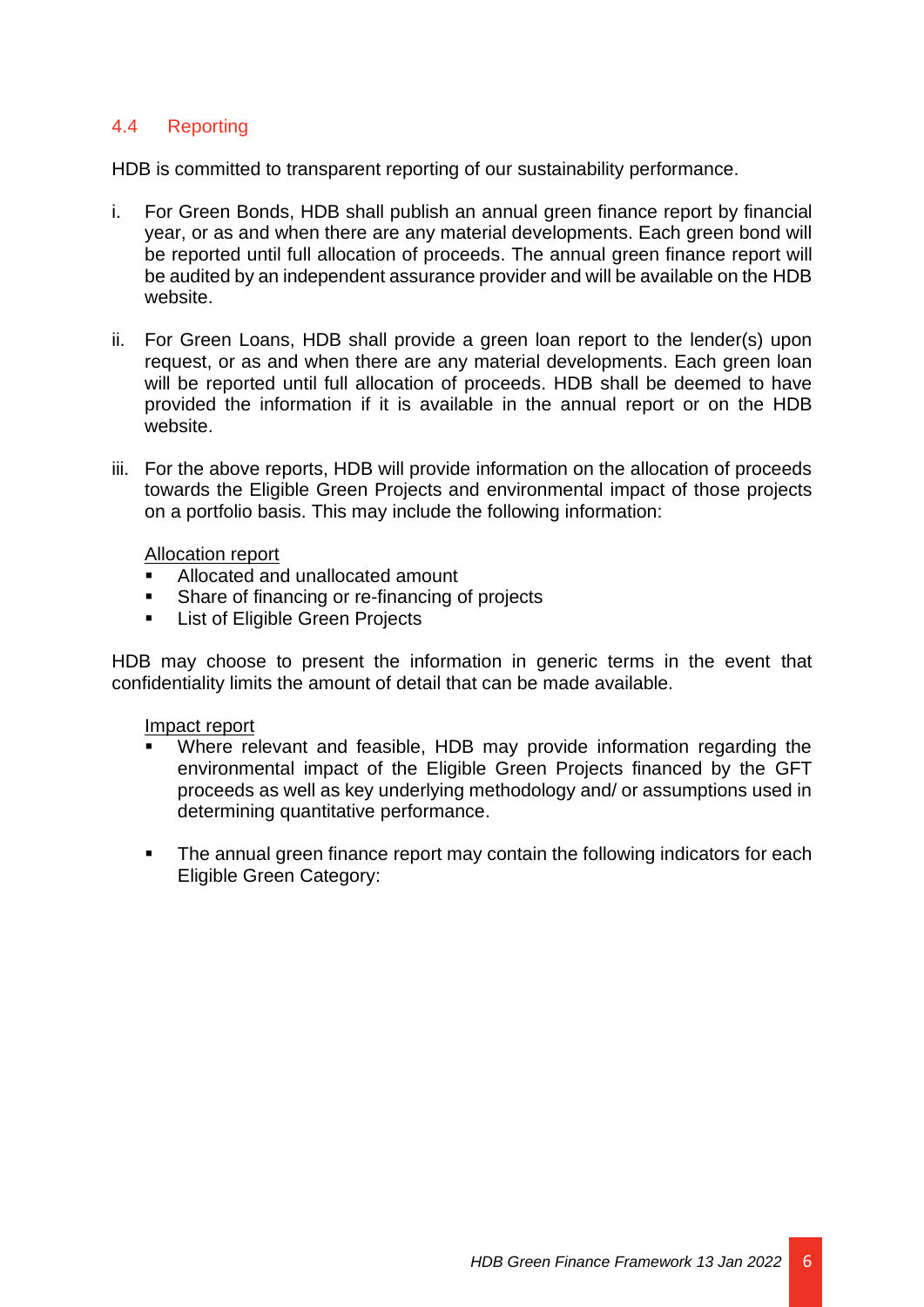#### 4.4 Reporting

HDB is committed to transparent reporting of our sustainability performance.

- i. For Green Bonds, HDB shall publish an annual green finance report by financial year, or as and when there are any material developments. Each green bond will be reported until full allocation of proceeds. The annual green finance report will be audited by an independent assurance provider and will be available on the HDB website.
- ii. For Green Loans, HDB shall provide a green loan report to the lender(s) upon request, or as and when there are any material developments. Each green loan will be reported until full allocation of proceeds. HDB shall be deemed to have provided the information if it is available in the annual report or on the HDB website.
- iii. For the above reports, HDB will provide information on the allocation of proceeds towards the Eligible Green Projects and environmental impact of those projects on a portfolio basis. This may include the following information:

#### Allocation report

- Allocated and unallocated amount
- Share of financing or re-financing of projects
- **List of Eligible Green Projects**

HDB may choose to present the information in generic terms in the event that confidentiality limits the amount of detail that can be made available.

#### Impact report

- Where relevant and feasible, HDB may provide information regarding the environmental impact of the Eligible Green Projects financed by the GFT proceeds as well as key underlying methodology and/ or assumptions used in determining quantitative performance.
- The annual green finance report may contain the following indicators for each Eligible Green Category: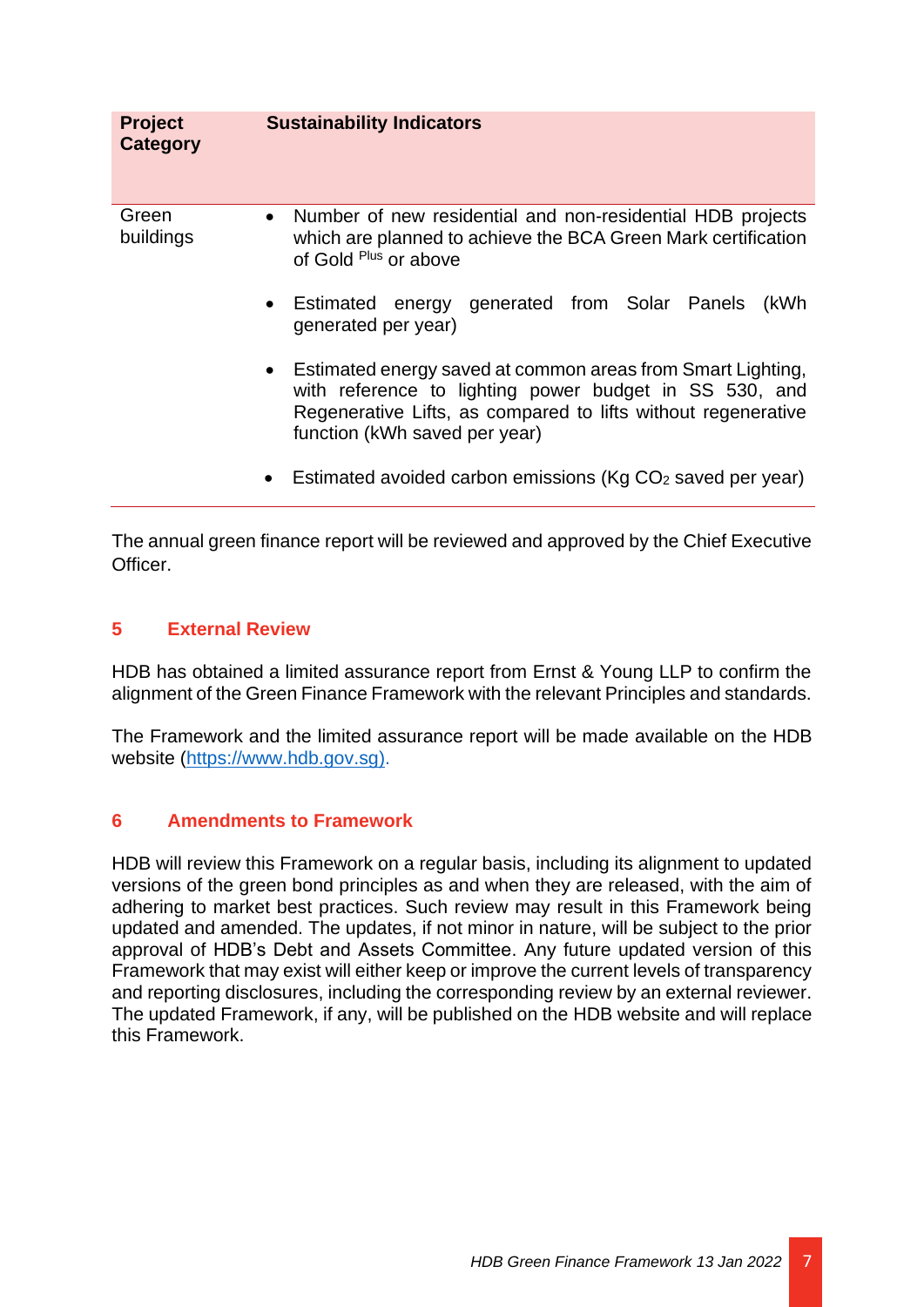| <b>Project</b><br><b>Category</b> | <b>Sustainability Indicators</b>                                                                                                                                                                                          |
|-----------------------------------|---------------------------------------------------------------------------------------------------------------------------------------------------------------------------------------------------------------------------|
| Green<br>buildings                | Number of new residential and non-residential HDB projects<br>$\bullet$<br>which are planned to achieve the BCA Green Mark certification<br>of Gold Plus or above                                                         |
|                                   | • Estimated energy generated from Solar Panels<br>(kWh<br>generated per year)                                                                                                                                             |
|                                   | • Estimated energy saved at common areas from Smart Lighting,<br>with reference to lighting power budget in SS 530, and<br>Regenerative Lifts, as compared to lifts without regenerative<br>function (kWh saved per year) |
|                                   | Estimated avoided carbon emissions (Kg CO <sub>2</sub> saved per year)<br>$\bullet$                                                                                                                                       |

The annual green finance report will be reviewed and approved by the Chief Executive Officer.

#### <span id="page-9-0"></span>**5 External Review**

HDB has obtained a limited assurance report from Ernst & Young LLP to confirm the alignment of the Green Finance Framework with the relevant Principles and standards.

The Framework and the limited assurance report will be made available on the HDB website [\(https://www.hdb.gov.sg\)](https://www.hdb.gov.sg/).

#### <span id="page-9-1"></span>**6 Amendments to Framework**

HDB will review this Framework on a regular basis, including its alignment to updated versions of the green bond principles as and when they are released, with the aim of adhering to market best practices. Such review may result in this Framework being updated and amended. The updates, if not minor in nature, will be subject to the prior approval of HDB's Debt and Assets Committee. Any future updated version of this Framework that may exist will either keep or improve the current levels of transparency and reporting disclosures, including the corresponding review by an external reviewer. The updated Framework, if any, will be published on the HDB website and will replace this Framework.